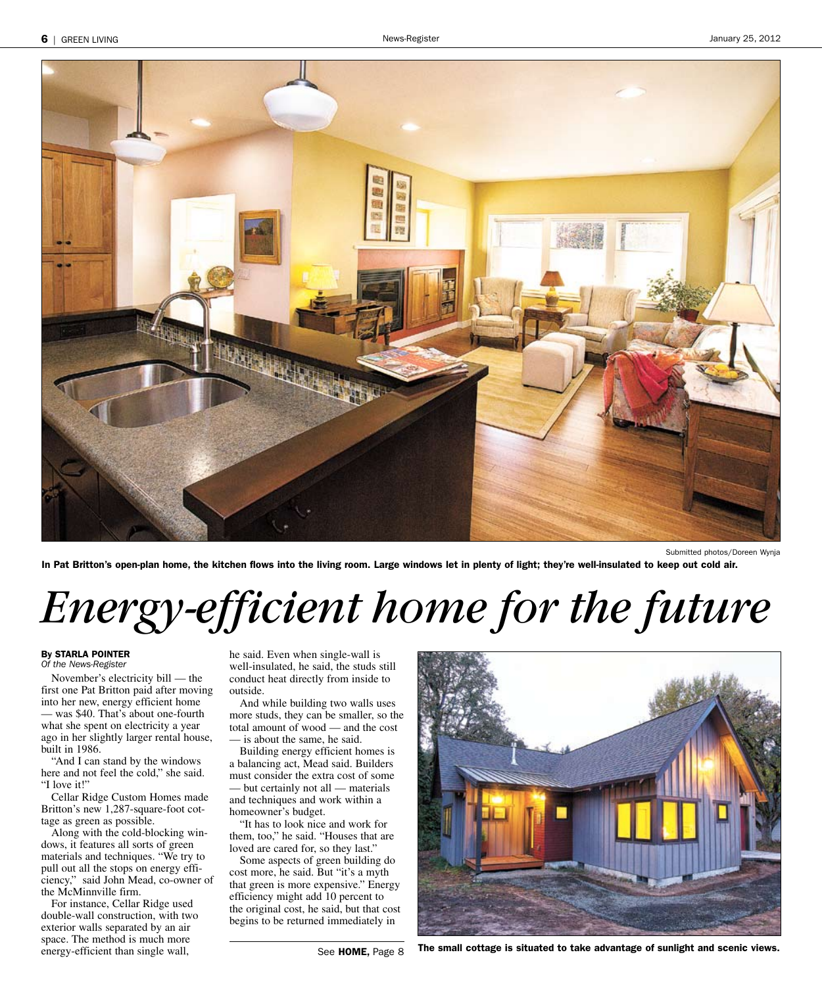

In Pat Britton's open-plan home, the kitchen flows into the living room. Large windows let in plenty of light; they're well-insulated to keep out cold air.

## *Energy-efficient home for the future*

### By STARLA POINTER

Of the News-Register

November's electricity bill — the first one Pat Britton paid after moving into her new, energy efficient home was \$40. That's about one-fourth what she spent on electricity a year ago in her slightly larger rental house, built in 1986.

"And I can stand by the windows here and not feel the cold," she said. "I love it!"

Cellar Ridge Custom Homes made Britton's new 1,287-square-foot cottage as green as possible.

Along with the cold-blocking windows, it features all sorts of green materials and techniques. "We try to pull out all the stops on energy efficiency," said John Mead, co-owner of the McMinnville firm.

For instance, Cellar Ridge used double-wall construction, with two exterior walls separated by an air space. The method is much more energy-efficient than single wall,

he said. Even when single-wall is well-insulated, he said, the studs still conduct heat directly from inside to outside.

And while building two walls uses more studs, they can be smaller, so the total amount of wood — and the cost — is about the same, he said.

Building energy efficient homes is a balancing act, Mead said. Builders must consider the extra cost of some — but certainly not all — materials and techniques and work within a homeowner's budget.

"It has to look nice and work for them, too," he said. "Houses that are loved are cared for, so they last."

Some aspects of green building do cost more, he said. But "it's a myth that green is more expensive." Energy efficiency might add 10 percent to the original cost, he said, but that cost begins to be returned immediately in



The small cottage is situated to take advantage of sunlight and scenic views.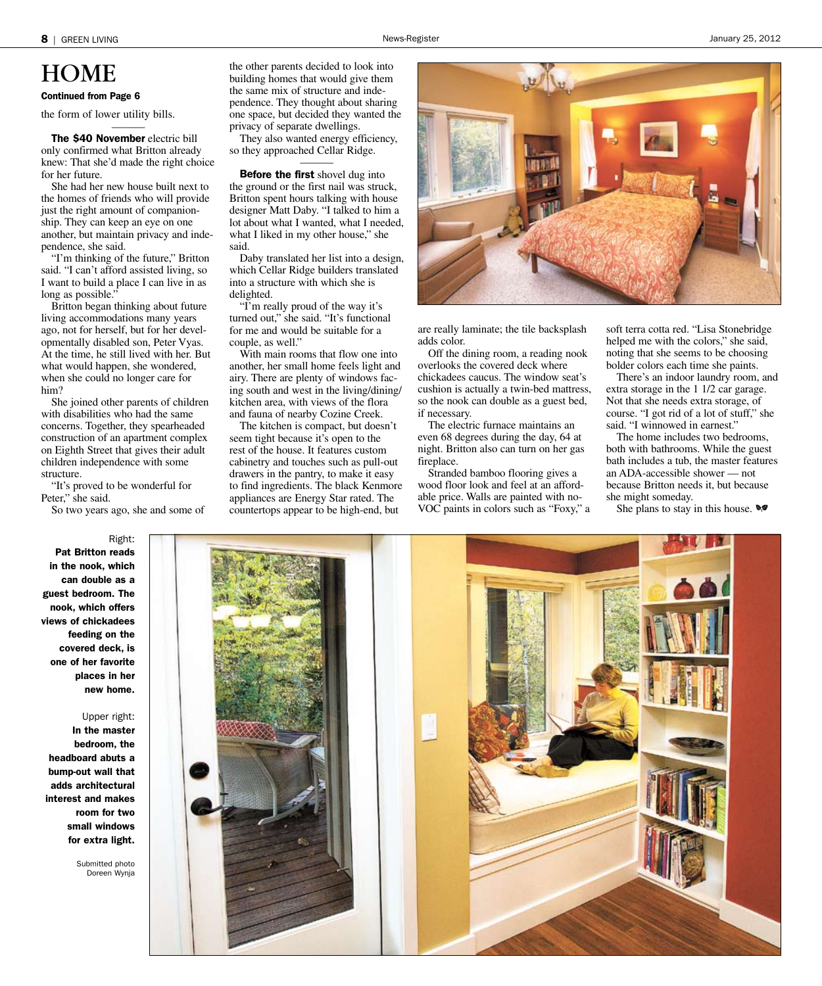## HOME<br>Continued from Page 6

the form of lower utility bills.

The \$40 November electric bill only confirmed what Britton already knew: That she'd made the right choice for her future.

———

She had her new house built next to the homes of friends who will provide just the right amount of companionship. They can keep an eye on one another, but maintain privacy and independence, she said.

"I'm thinking of the future," Britton said. "I can't afford assisted living, so I want to build a place I can live in as long as possible."

Britton began thinking about future living accommodations many years ago, not for herself, but for her developmentally disabled son, Peter Vyas. At the time, he still lived with her. But what would happen, she wondered, when she could no longer care for him?

She joined other parents of children with disabilities who had the same concerns. Together, they spearheaded construction of an apartment complex on Eighth Street that gives their adult children independence with some structure.

"It's proved to be wonderful for Peter," she said.

So two years ago, she and some of

the other parents decided to look into building homes that would give them the same mix of structure and independence. They thought about sharing one space, but decided they wanted the privacy of separate dwellings.

They also wanted energy efficiency, so they approached Cellar Ridge. ———

**Before the first** shovel dug into the ground or the first nail was struck, Britton spent hours talking with house designer Matt Daby. "I talked to him a lot about what I wanted, what I needed, what I liked in my other house," she said.

Daby translated her list into a design, which Cellar Ridge builders translated into a structure with which she is delighted.

"I'm really proud of the way it's turned out," she said. "It's functional for me and would be suitable for a couple, as well."

With main rooms that flow one into another, her small home feels light and airy. There are plenty of windows facing south and west in the living/dining/ kitchen area, with views of the flora and fauna of nearby Cozine Creek.

The kitchen is compact, but doesn't seem tight because it's open to the rest of the house. It features custom cabinetry and touches such as pull-out drawers in the pantry, to make it easy to find ingredients. The black Kenmore appliances are Energy Star rated. The countertops appear to be high-end, but



are really laminate; the tile backsplash adds color.

Off the dining room, a reading nook overlooks the covered deck where chickadees caucus. The window seat's cushion is actually a twin-bed mattress, so the nook can double as a guest bed, if necessary.

The electric furnace maintains an even 68 degrees during the day, 64 at night. Britton also can turn on her gas fireplace.

Stranded bamboo flooring gives a wood floor look and feel at an affordable price. Walls are painted with no-VOC paints in colors such as "Foxy," a soft terra cotta red. "Lisa Stonebridge helped me with the colors," she said, noting that she seems to be choosing bolder colors each time she paints.

There's an indoor laundry room, and extra storage in the 1 1/2 car garage. Not that she needs extra storage, of course. "I got rid of a lot of stuff," she said. "I winnowed in earnest."

The home includes two bedrooms, both with bathrooms. While the guest bath includes a tub, the master features an ADA-accessible shower — not because Britton needs it, but because she might someday.

She plans to stay in this house.  $\mathcal{A}$ 



Right: Pat Britton reads in the nook, which can double as a guest bedroom. The nook, which offers views of chickadees feeding on the covered deck, is one of her favorite places in her new home.

Upper right:

In the master bedroom, the headboard abuts a bump-out wall that adds architectural interest and makes room for two small windows for extra light.

> Submitted photo Doreen Wynja